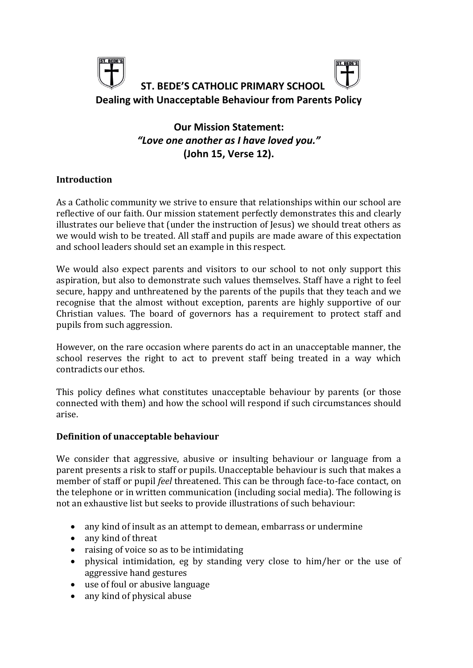

# **Our Mission Statement:** *"Love one another as I have loved you."* **(John 15, Verse 12).**

# **Introduction**

As a Catholic community we strive to ensure that relationships within our school are reflective of our faith. Our mission statement perfectly demonstrates this and clearly illustrates our believe that (under the instruction of Jesus) we should treat others as we would wish to be treated. All staff and pupils are made aware of this expectation and school leaders should set an example in this respect.

We would also expect parents and visitors to our school to not only support this aspiration, but also to demonstrate such values themselves. Staff have a right to feel secure, happy and unthreatened by the parents of the pupils that they teach and we recognise that the almost without exception, parents are highly supportive of our Christian values. The board of governors has a requirement to protect staff and pupils from such aggression.

However, on the rare occasion where parents do act in an unacceptable manner, the school reserves the right to act to prevent staff being treated in a way which contradicts our ethos.

This policy defines what constitutes unacceptable behaviour by parents (or those connected with them) and how the school will respond if such circumstances should arise.

# **Definition of unacceptable behaviour**

We consider that aggressive, abusive or insulting behaviour or language from a parent presents a risk to staff or pupils. Unacceptable behaviour is such that makes a member of staff or pupil *feel* threatened. This can be through face-to-face contact, on the telephone or in written communication (including social media). The following is not an exhaustive list but seeks to provide illustrations of such behaviour:

- any kind of insult as an attempt to demean, embarrass or undermine
- any kind of threat
- raising of voice so as to be intimidating
- physical intimidation, eg by standing very close to him/her or the use of aggressive hand gestures
- use of foul or abusive language
- any kind of physical abuse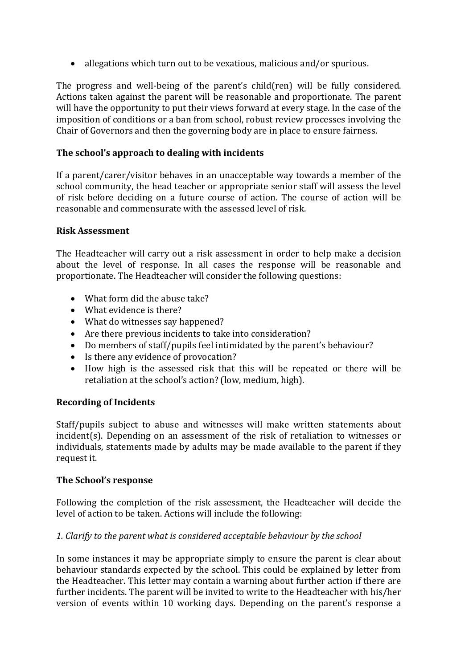• allegations which turn out to be vexatious, malicious and/or spurious.

The progress and well-being of the parent's child(ren) will be fully considered. Actions taken against the parent will be reasonable and proportionate. The parent will have the opportunity to put their views forward at every stage. In the case of the imposition of conditions or a ban from school, robust review processes involving the Chair of Governors and then the governing body are in place to ensure fairness.

# **The school's approach to dealing with incidents**

If a parent/carer/visitor behaves in an unacceptable way towards a member of the school community, the head teacher or appropriate senior staff will assess the level of risk before deciding on a future course of action. The course of action will be reasonable and commensurate with the assessed level of risk.

# **Risk Assessment**

The Headteacher will carry out a risk assessment in order to help make a decision about the level of response. In all cases the response will be reasonable and proportionate. The Headteacher will consider the following questions:

- What form did the abuse take?
- What evidence is there?
- What do witnesses say happened?
- Are there previous incidents to take into consideration?
- Do members of staff/pupils feel intimidated by the parent's behaviour?
- Is there any evidence of provocation?
- How high is the assessed risk that this will be repeated or there will be retaliation at the school's action? (low, medium, high).

# **Recording of Incidents**

Staff/pupils subject to abuse and witnesses will make written statements about incident(s). Depending on an assessment of the risk of retaliation to witnesses or individuals, statements made by adults may be made available to the parent if they request it.

# **The School's response**

Following the completion of the risk assessment, the Headteacher will decide the level of action to be taken. Actions will include the following:

# *1. Clarify to the parent what is considered acceptable behaviour by the school*

In some instances it may be appropriate simply to ensure the parent is clear about behaviour standards expected by the school. This could be explained by letter from the Headteacher. This letter may contain a warning about further action if there are further incidents. The parent will be invited to write to the Headteacher with his/her version of events within 10 working days. Depending on the parent's response a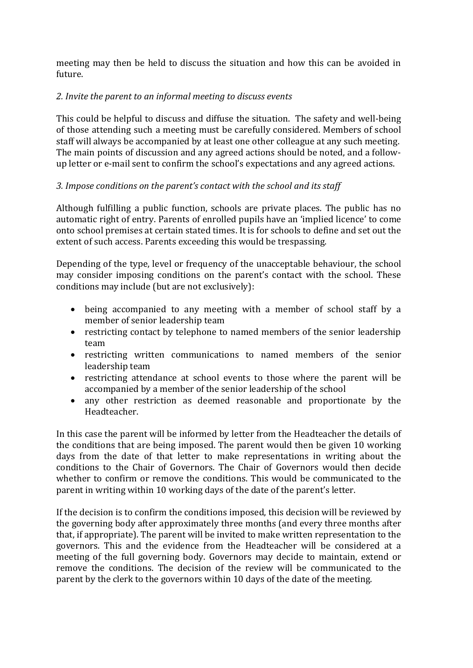meeting may then be held to discuss the situation and how this can be avoided in future.

# *2. Invite the parent to an informal meeting to discuss events*

This could be helpful to discuss and diffuse the situation. The safety and well-being of those attending such a meeting must be carefully considered. Members of school staff will always be accompanied by at least one other colleague at any such meeting. The main points of discussion and any agreed actions should be noted, and a followup letter or e-mail sent to confirm the school's expectations and any agreed actions.

# *3. Impose conditions on the parent's contact with the school and its staff*

Although fulfilling a public function, schools are private places. The public has no automatic right of entry. Parents of enrolled pupils have an 'implied licence' to come onto school premises at certain stated times. It is for schools to define and set out the extent of such access. Parents exceeding this would be trespassing.

Depending of the type, level or frequency of the unacceptable behaviour, the school may consider imposing conditions on the parent's contact with the school. These conditions may include (but are not exclusively):

- being accompanied to any meeting with a member of school staff by a member of senior leadership team
- restricting contact by telephone to named members of the senior leadership team
- restricting written communications to named members of the senior leadership team
- restricting attendance at school events to those where the parent will be accompanied by a member of the senior leadership of the school
- any other restriction as deemed reasonable and proportionate by the Headteacher.

In this case the parent will be informed by letter from the Headteacher the details of the conditions that are being imposed. The parent would then be given 10 working days from the date of that letter to make representations in writing about the conditions to the Chair of Governors. The Chair of Governors would then decide whether to confirm or remove the conditions. This would be communicated to the parent in writing within 10 working days of the date of the parent's letter.

If the decision is to confirm the conditions imposed, this decision will be reviewed by the governing body after approximately three months (and every three months after that, if appropriate). The parent will be invited to make written representation to the governors. This and the evidence from the Headteacher will be considered at a meeting of the full governing body. Governors may decide to maintain, extend or remove the conditions. The decision of the review will be communicated to the parent by the clerk to the governors within 10 days of the date of the meeting.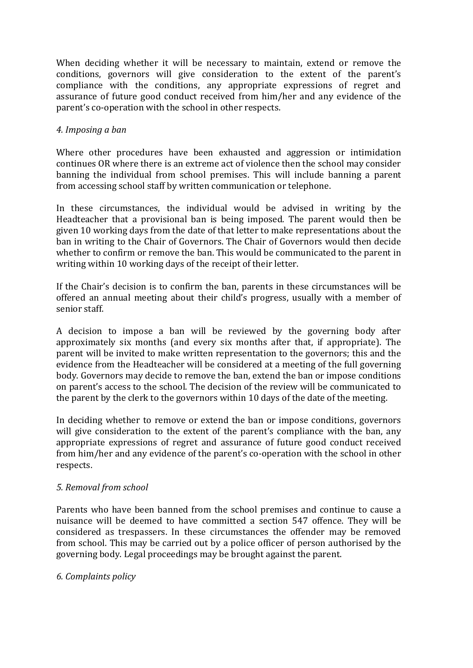When deciding whether it will be necessary to maintain, extend or remove the conditions, governors will give consideration to the extent of the parent's compliance with the conditions, any appropriate expressions of regret and assurance of future good conduct received from him/her and any evidence of the parent's co-operation with the school in other respects.

#### *4. Imposing a ban*

Where other procedures have been exhausted and aggression or intimidation continues OR where there is an extreme act of violence then the school may consider banning the individual from school premises. This will include banning a parent from accessing school staff by written communication or telephone.

In these circumstances, the individual would be advised in writing by the Headteacher that a provisional ban is being imposed. The parent would then be given 10 working days from the date of that letter to make representations about the ban in writing to the Chair of Governors. The Chair of Governors would then decide whether to confirm or remove the ban. This would be communicated to the parent in writing within 10 working days of the receipt of their letter.

If the Chair's decision is to confirm the ban, parents in these circumstances will be offered an annual meeting about their child's progress, usually with a member of senior staff.

A decision to impose a ban will be reviewed by the governing body after approximately six months (and every six months after that, if appropriate). The parent will be invited to make written representation to the governors; this and the evidence from the Headteacher will be considered at a meeting of the full governing body. Governors may decide to remove the ban, extend the ban or impose conditions on parent's access to the school. The decision of the review will be communicated to the parent by the clerk to the governors within 10 days of the date of the meeting.

In deciding whether to remove or extend the ban or impose conditions, governors will give consideration to the extent of the parent's compliance with the ban, any appropriate expressions of regret and assurance of future good conduct received from him/her and any evidence of the parent's co-operation with the school in other respects.

# *5. Removal from school*

Parents who have been banned from the school premises and continue to cause a nuisance will be deemed to have committed a section 547 offence. They will be considered as trespassers. In these circumstances the offender may be removed from school. This may be carried out by a police officer of person authorised by the governing body. Legal proceedings may be brought against the parent.

#### *6. Complaints policy*